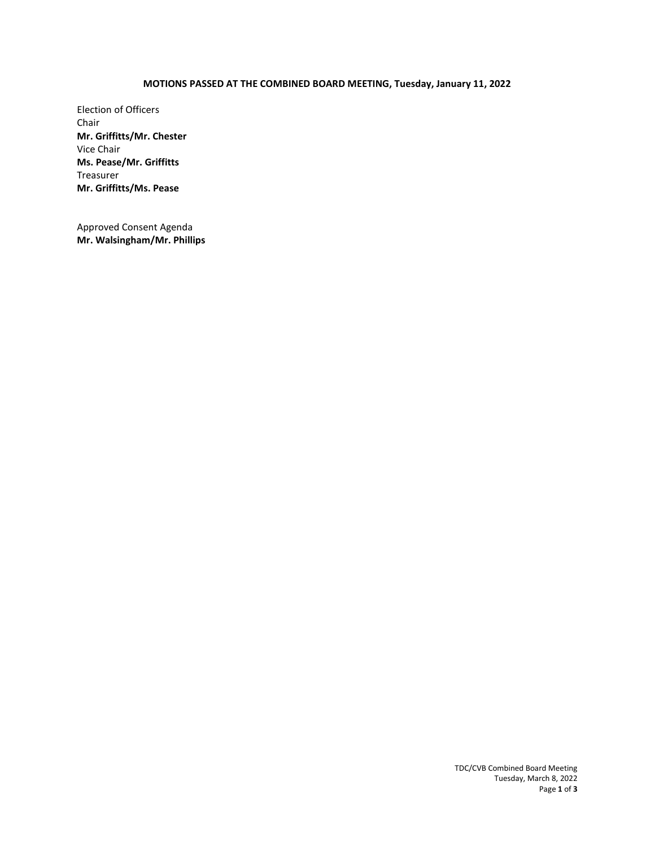# **MOTIONS PASSED AT THE COMBINED BOARD MEETING, Tuesday, January 11, 2022**

Election of Officers Chair **Mr. Griffitts/Mr. Chester**  Vice Chair **Ms. Pease/Mr. Griffitts**  Treasurer **Mr. Griffitts/Ms. Pease** 

Approved Consent Agenda **Mr. Walsingham/Mr. Phillips** 

> TDC/CVB Combined Board Meeting Tuesday, March 8, 2022 Page **1** of **3**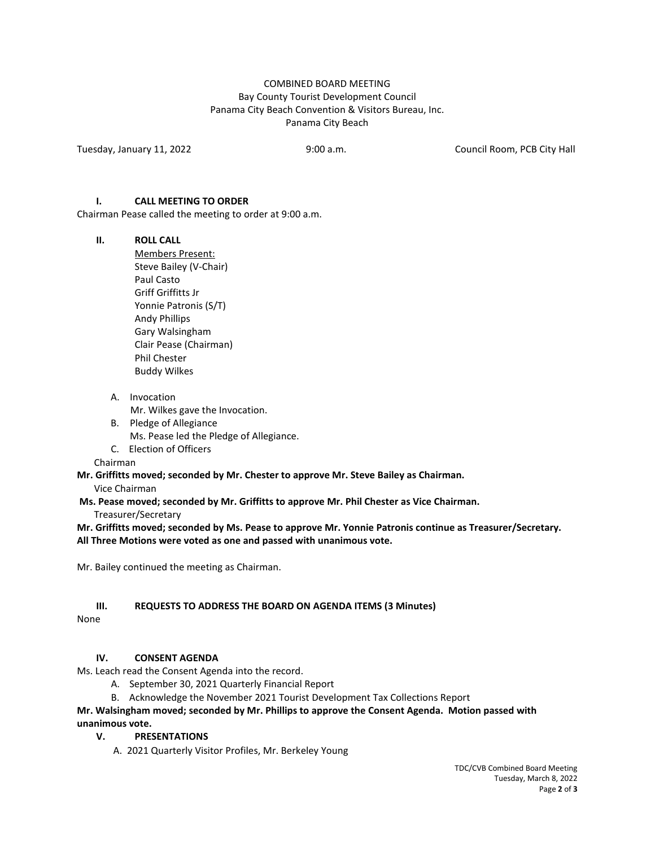# COMBINED BOARD MEETING Bay County Tourist Development Council Panama City Beach Convention & Visitors Bureau, Inc. Panama City Beach

Tuesday, January 11, 2022 9:00 a.m. Council Room, PCB City Hall

### **I. CALL MEETING TO ORDER**

Chairman Pease called the meeting to order at 9:00 a.m.

#### **II. ROLL CALL**

Members Present: Steve Bailey (V-Chair) Paul Casto Griff Griffitts Jr Yonnie Patronis (S/T) Andy Phillips Gary Walsingham Clair Pease (Chairman) Phil Chester Buddy Wilkes

A. Invocation

Mr. Wilkes gave the Invocation.

- B. Pledge of Allegiance Ms. Pease led the Pledge of Allegiance.
- C. Election of Officers

Chairman

**Mr. Griffitts moved; seconded by Mr. Chester to approve Mr. Steve Bailey as Chairman.** 

Vice Chairman

 **Ms. Pease moved; seconded by Mr. Griffitts to approve Mr. Phil Chester as Vice Chairman.** 

Treasurer/Secretary

**Mr. Griffitts moved; seconded by Ms. Pease to approve Mr. Yonnie Patronis continue as Treasurer/Secretary. All Three Motions were voted as one and passed with unanimous vote.** 

Mr. Bailey continued the meeting as Chairman.

### **III. REQUESTS TO ADDRESS THE BOARD ON AGENDA ITEMS (3 Minutes)**

None

### **IV. CONSENT AGENDA**

Ms. Leach read the Consent Agenda into the record.

- A. September 30, 2021 Quarterly Financial Report
- B. Acknowledge the November 2021 Tourist Development Tax Collections Report

# **Mr. Walsingham moved; seconded by Mr. Phillips to approve the Consent Agenda. Motion passed with unanimous vote.**

# **V. PRESENTATIONS**

A. 2021 Quarterly Visitor Profiles, Mr. Berkeley Young